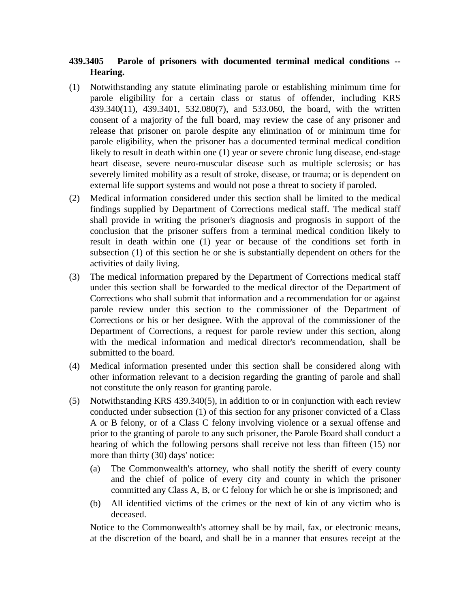## **439.3405 Parole of prisoners with documented terminal medical conditions -- Hearing.**

- (1) Notwithstanding any statute eliminating parole or establishing minimum time for parole eligibility for a certain class or status of offender, including KRS 439.340(11), 439.3401, 532.080(7), and 533.060, the board, with the written consent of a majority of the full board, may review the case of any prisoner and release that prisoner on parole despite any elimination of or minimum time for parole eligibility, when the prisoner has a documented terminal medical condition likely to result in death within one (1) year or severe chronic lung disease, end-stage heart disease, severe neuro-muscular disease such as multiple sclerosis; or has severely limited mobility as a result of stroke, disease, or trauma; or is dependent on external life support systems and would not pose a threat to society if paroled.
- (2) Medical information considered under this section shall be limited to the medical findings supplied by Department of Corrections medical staff. The medical staff shall provide in writing the prisoner's diagnosis and prognosis in support of the conclusion that the prisoner suffers from a terminal medical condition likely to result in death within one (1) year or because of the conditions set forth in subsection (1) of this section he or she is substantially dependent on others for the activities of daily living.
- (3) The medical information prepared by the Department of Corrections medical staff under this section shall be forwarded to the medical director of the Department of Corrections who shall submit that information and a recommendation for or against parole review under this section to the commissioner of the Department of Corrections or his or her designee. With the approval of the commissioner of the Department of Corrections, a request for parole review under this section, along with the medical information and medical director's recommendation, shall be submitted to the board.
- (4) Medical information presented under this section shall be considered along with other information relevant to a decision regarding the granting of parole and shall not constitute the only reason for granting parole.
- (5) Notwithstanding KRS 439.340(5), in addition to or in conjunction with each review conducted under subsection (1) of this section for any prisoner convicted of a Class A or B felony, or of a Class C felony involving violence or a sexual offense and prior to the granting of parole to any such prisoner, the Parole Board shall conduct a hearing of which the following persons shall receive not less than fifteen (15) nor more than thirty (30) days' notice:
	- (a) The Commonwealth's attorney, who shall notify the sheriff of every county and the chief of police of every city and county in which the prisoner committed any Class A, B, or C felony for which he or she is imprisoned; and
	- (b) All identified victims of the crimes or the next of kin of any victim who is deceased.

Notice to the Commonwealth's attorney shall be by mail, fax, or electronic means, at the discretion of the board, and shall be in a manner that ensures receipt at the